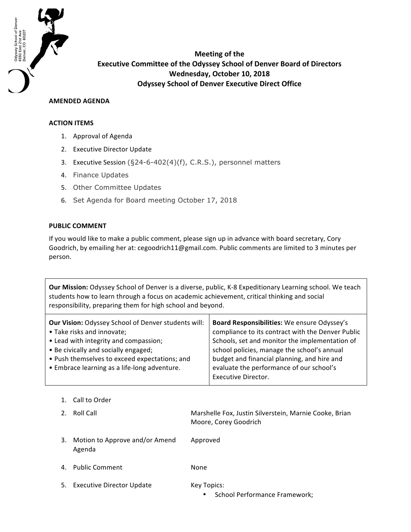

**Meeting of the Executive Committee of the Odyssey School of Denver Board of Directors Wednesday, October 10, 2018 Odyssey School of Denver Executive Direct Office** 

## **AMENDED AGENDA**

## **ACTION ITEMS**

- 1. Approval of Agenda
- 2. Executive Director Update
- 3. Executive Session (§24-6-402(4)(f), C.R.S.), personnel matters
- 4. Finance Updates
- 5. Other Committee Updates
- 6. Set Agenda for Board meeting October 17, 2018

## **PUBLIC COMMENT**

If you would like to make a public comment, please sign up in advance with board secretary, Cory Goodrich, by emailing her at: cegoodrich11@gmail.com. Public comments are limited to 3 minutes per person.

**Our Mission:** Odyssey School of Denver is a diverse, public, K-8 Expeditionary Learning school. We teach students how to learn through a focus on academic achievement, critical thinking and social responsibility, preparing them for high school and beyond.

| Our Vision: Odyssey School of Denver students will: | Board Responsibilities: We ensure Odyssey's       |
|-----------------------------------------------------|---------------------------------------------------|
| • Take risks and innovate;                          | compliance to its contract with the Denver Public |
| • Lead with integrity and compassion;               | Schools, set and monitor the implementation of    |
| • Be civically and socially engaged;                | school policies, manage the school's annual       |
| • Push themselves to exceed expectations; and       | budget and financial planning, and hire and       |
| • Embrace learning as a life-long adventure.        | evaluate the performance of our school's          |
|                                                     | <b>Executive Director.</b>                        |
|                                                     |                                                   |

| 2. | Roll Call                                | Marshelle Fox, Justin Silverstein, Marnie Cooke, Brian<br>Moore, Corey Goodrich |
|----|------------------------------------------|---------------------------------------------------------------------------------|
| 3. | Motion to Approve and/or Amend<br>Agenda | Approved                                                                        |
|    | 4. Public Comment                        | None.                                                                           |
|    | 5. Executive Director Update             | Key Topics:<br>School Performance Framework;                                    |